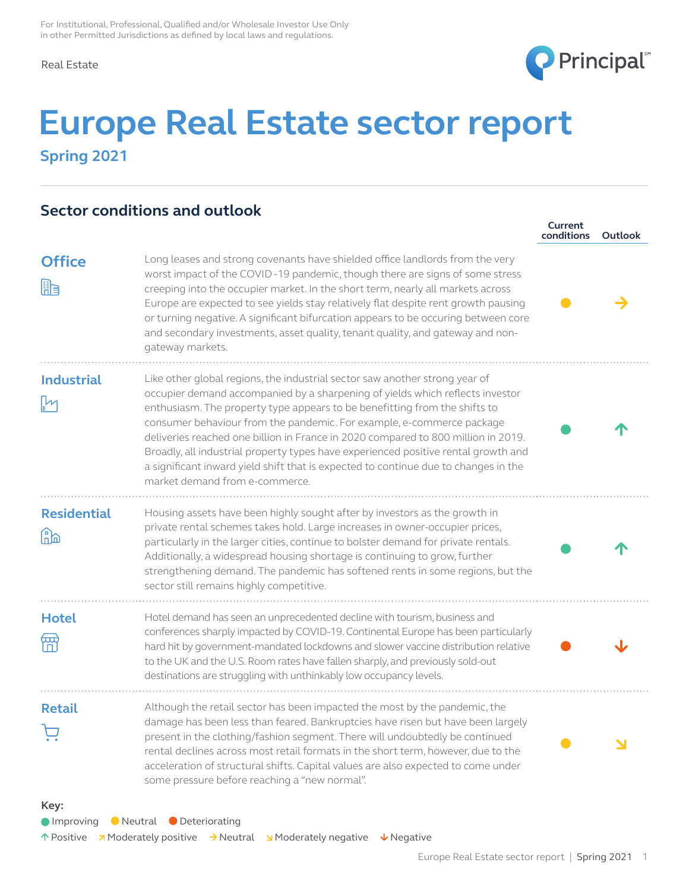

**Current** 

# **Europe Real Estate sector report Spring 2021**

### **Sector conditions and outlook**

|                          |                                                                                                                                                                                                                                                                                                                                                                                                                                                                                                                                                                                                                         | conditions | <b>Outlook</b> |
|--------------------------|-------------------------------------------------------------------------------------------------------------------------------------------------------------------------------------------------------------------------------------------------------------------------------------------------------------------------------------------------------------------------------------------------------------------------------------------------------------------------------------------------------------------------------------------------------------------------------------------------------------------------|------------|----------------|
| <b>Office</b><br>He      | Long leases and strong covenants have shielded office landlords from the very<br>worst impact of the COVID-19 pandemic, though there are signs of some stress<br>creeping into the occupier market. In the short term, nearly all markets across<br>Europe are expected to see yields stay relatively flat despite rent growth pausing<br>or turning negative. A significant bifurcation appears to be occuring between core<br>and secondary investments, asset quality, tenant quality, and gateway and non-<br>gateway markets.                                                                                      |            |                |
| <b>Industrial</b>        | Like other global regions, the industrial sector saw another strong year of<br>occupier demand accompanied by a sharpening of yields which reflects investor<br>enthusiasm. The property type appears to be benefitting from the shifts to<br>consumer behaviour from the pandemic. For example, e-commerce package<br>deliveries reached one billion in France in 2020 compared to 800 million in 2019.<br>Broadly, all industrial property types have experienced positive rental growth and<br>a significant inward yield shift that is expected to continue due to changes in the<br>market demand from e-commerce. |            |                |
| <b>Residential</b><br>£b | Housing assets have been highly sought after by investors as the growth in<br>private rental schemes takes hold. Large increases in owner-occupier prices,<br>particularly in the larger cities, continue to bolster demand for private rentals.<br>Additionally, a widespread housing shortage is continuing to grow, further<br>strengthening demand. The pandemic has softened rents in some regions, but the<br>sector still remains highly competitive.                                                                                                                                                            |            |                |
| <b>Hotel</b><br>冊        | Hotel demand has seen an unprecedented decline with tourism, business and<br>conferences sharply impacted by COVID-19. Continental Europe has been particularly<br>hard hit by government-mandated lockdowns and slower vaccine distribution relative<br>to the UK and the U.S. Room rates have fallen sharply, and previously sold-out<br>destinations are struggling with unthinkably low occupancy levels.                                                                                                                                                                                                           |            |                |
| <b>Retail</b>            | Although the retail sector has been impacted the most by the pandemic, the<br>damage has been less than feared. Bankruptcies have risen but have been largely<br>present in the clothing/fashion segment. There will undoubtedly be continued<br>rental declines across most retail formats in the short term, however, due to the<br>acceleration of structural shifts. Capital values are also expected to come under<br>some pressure before reaching a "new normal".                                                                                                                                                |            |                |
| Key:<br><b>Improving</b> | ● Neutral ● Deteriorating                                                                                                                                                                                                                                                                                                                                                                                                                                                                                                                                                                                               |            |                |

 $\uparrow$  Positive  $\uparrow$  Moderately positive  $\rightarrow$  Neutral Moderately negative  $\downarrow$  Negative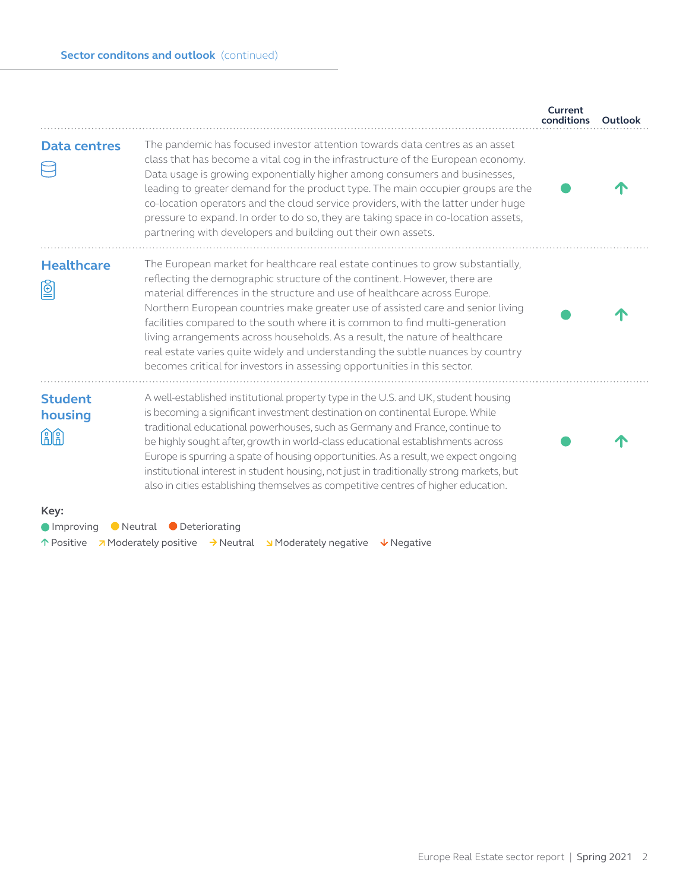|                                        |                                                                                                                                                                                                                                                                                                                                                                                                                                                                                                                                                                                                                                                               | Current<br>conditions | Outlook |
|----------------------------------------|---------------------------------------------------------------------------------------------------------------------------------------------------------------------------------------------------------------------------------------------------------------------------------------------------------------------------------------------------------------------------------------------------------------------------------------------------------------------------------------------------------------------------------------------------------------------------------------------------------------------------------------------------------------|-----------------------|---------|
| <b>Data centres</b>                    | The pandemic has focused investor attention towards data centres as an asset<br>class that has become a vital cog in the infrastructure of the European economy.<br>Data usage is growing exponentially higher among consumers and businesses,<br>leading to greater demand for the product type. The main occupier groups are the<br>co-location operators and the cloud service providers, with the latter under huge<br>pressure to expand. In order to do so, they are taking space in co-location assets,<br>partnering with developers and building out their own assets.                                                                               |                       |         |
| <b>Healthcare</b><br>₫                 | The European market for healthcare real estate continues to grow substantially,<br>reflecting the demographic structure of the continent. However, there are<br>material differences in the structure and use of healthcare across Europe.<br>Northern European countries make greater use of assisted care and senior living<br>facilities compared to the south where it is common to find multi-generation<br>living arrangements across households. As a result, the nature of healthcare<br>real estate varies quite widely and understanding the subtle nuances by country<br>becomes critical for investors in assessing opportunities in this sector. |                       |         |
| <b>Student</b><br>housing<br>AA        | A well-established institutional property type in the U.S. and UK, student housing<br>is becoming a significant investment destination on continental Europe. While<br>traditional educational powerhouses, such as Germany and France, continue to<br>be highly sought after, growth in world-class educational establishments across<br>Europe is spurring a spate of housing opportunities. As a result, we expect ongoing<br>institutional interest in student housing, not just in traditionally strong markets, but<br>also in cities establishing themselves as competitive centres of higher education.                                               |                       |         |
| Key:<br><b>Improving</b><br>个 Positive | ● Neutral ● Deteriorating<br>7 Moderately positive → Neutral J Moderately negative ↓ Negative                                                                                                                                                                                                                                                                                                                                                                                                                                                                                                                                                                 |                       |         |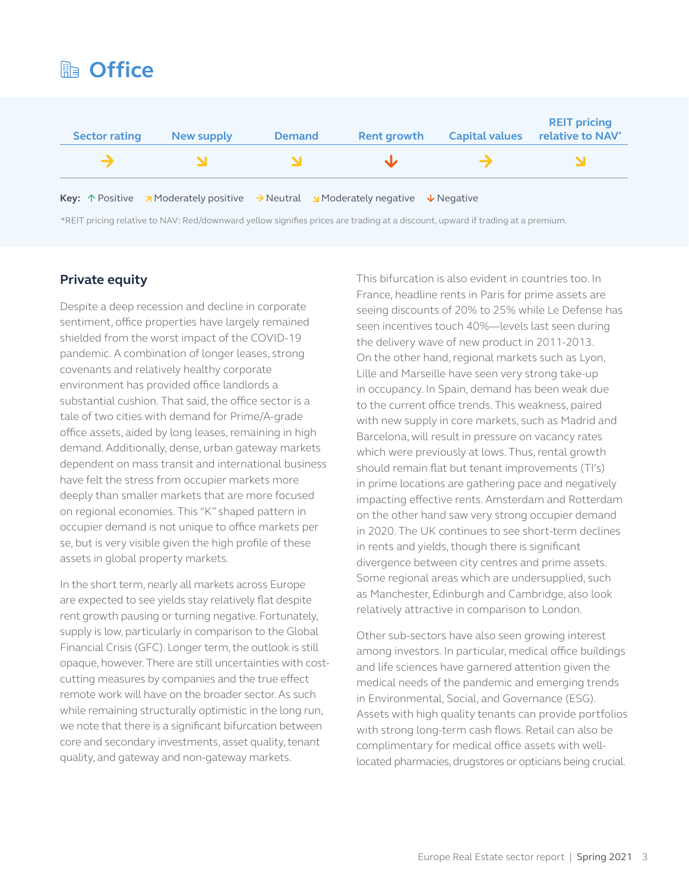### **B** Office

| <b>Sector rating</b> | New supply | <b>Demand</b> | <b>Rent growth</b>                                                                                              | <b>Capital values</b> | <b>REIT pricing</b><br>relative to NAV* |
|----------------------|------------|---------------|-----------------------------------------------------------------------------------------------------------------|-----------------------|-----------------------------------------|
|                      |            |               | slz.                                                                                                            |                       |                                         |
|                      |            |               | <b>Key:</b> $\uparrow$ Positive <b>7</b> Moderately positive $\rightarrow$ Neutral <b>N</b> Moderately negative | $\vee$ Negative       |                                         |

\*REIT pricing relative to NAV: Red/downward yellow signifies prices are trading at a discount, upward if trading at a premium.

#### **Private equity**

Despite a deep recession and decline in corporate sentiment, office properties have largely remained shielded from the worst impact of the COVID-19 pandemic. A combination of longer leases, strong covenants and relatively healthy corporate environment has provided office landlords a substantial cushion. That said, the office sector is a tale of two cities with demand for Prime/A-grade office assets, aided by long leases, remaining in high demand. Additionally, dense, urban gateway markets dependent on mass transit and international business have felt the stress from occupier markets more deeply than smaller markets that are more focused on regional economies. This "K" shaped pattern in occupier demand is not unique to office markets per se, but is very visible given the high profile of these assets in global property markets.

In the short term, nearly all markets across Europe are expected to see yields stay relatively flat despite rent growth pausing or turning negative. Fortunately, supply is low, particularly in comparison to the Global Financial Crisis (GFC). Longer term, the outlook is still opaque, however. There are still uncertainties with costcutting measures by companies and the true effect remote work will have on the broader sector. As such while remaining structurally optimistic in the long run, we note that there is a significant bifurcation between core and secondary investments, asset quality, tenant quality, and gateway and non-gateway markets.

This bifurcation is also evident in countries too. In France, headline rents in Paris for prime assets are seeing discounts of 20% to 25% while Le Defense has seen incentives touch 40%—levels last seen during the delivery wave of new product in 2011-2013. On the other hand, regional markets such as Lyon, Lille and Marseille have seen very strong take-up in occupancy. In Spain, demand has been weak due to the current office trends. This weakness, paired with new supply in core markets, such as Madrid and Barcelona, will result in pressure on vacancy rates which were previously at lows. Thus, rental growth should remain flat but tenant improvements (TI's) in prime locations are gathering pace and negatively impacting effective rents. Amsterdam and Rotterdam on the other hand saw very strong occupier demand in 2020. The UK continues to see short-term declines in rents and yields, though there is significant divergence between city centres and prime assets. Some regional areas which are undersupplied, such as Manchester, Edinburgh and Cambridge, also look relatively attractive in comparison to London.

Other sub-sectors have also seen growing interest among investors. In particular, medical office buildings and life sciences have garnered attention given the medical needs of the pandemic and emerging trends in Environmental, Social, and Governance (ESG). Assets with high quality tenants can provide portfolios with strong long-term cash flows. Retail can also be complimentary for medical office assets with welllocated pharmacies, drugstores or opticians being crucial.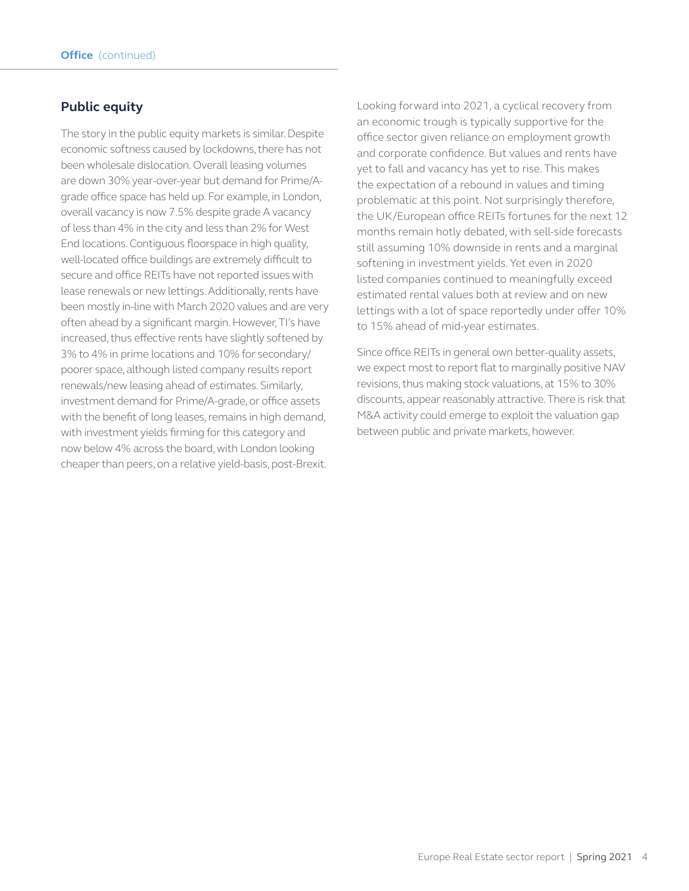#### **Public equity**

The story in the public equity markets is similar. Despite economic softness caused by lockdowns, there has not been wholesale dislocation. Overall leasing volumes are down 30% year-over-year but demand for Prime/Agrade office space has held up. For example, in London, overall vacancy is now 7.5% despite grade A vacancy of less than 4% in the city and less than 2% for West End locations. Contiguous floorspace in high quality, well-located office buildings are extremely difficult to secure and office REITs have not reported issues with lease renewals or new lettings. Additionally, rents have been mostly in-line with March 2020 values and are very often ahead by a significant margin. However, TI's have increased, thus effective rents have slightly softened by 3% to 4% in prime locations and 10% for secondary/ poorer space, although listed company results report renewals/new leasing ahead of estimates. Similarly, investment demand for Prime/A-grade, or office assets with the benefit of long leases, remains in high demand, with investment yields firming for this category and now below 4% across the board, with London looking cheaper than peers, on a relative yield-basis, post-Brexit.

Looking forward into 2021, a cyclical recovery from an economic trough is typically supportive for the office sector given reliance on employment growth and corporate confidence. But values and rents have yet to fall and vacancy has yet to rise. This makes the expectation of a rebound in values and timing problematic at this point. Not surprisingly therefore, the UK/European office REITs fortunes for the next 12 months remain hotly debated, with sell-side forecasts still assuming 10% downside in rents and a marginal softening in investment yields. Yet even in 2020 listed companies continued to meaningfully exceed estimated rental values both at review and on new lettings with a lot of space reportedly under offer 10% to 15% ahead of mid-year estimates.

Since office REITs in general own better-quality assets, we expect most to report flat to marginally positive NAV revisions, thus making stock valuations, at 15% to 30% discounts, appear reasonably attractive. There is risk that M&A activity could emerge to exploit the valuation gap between public and private markets, however.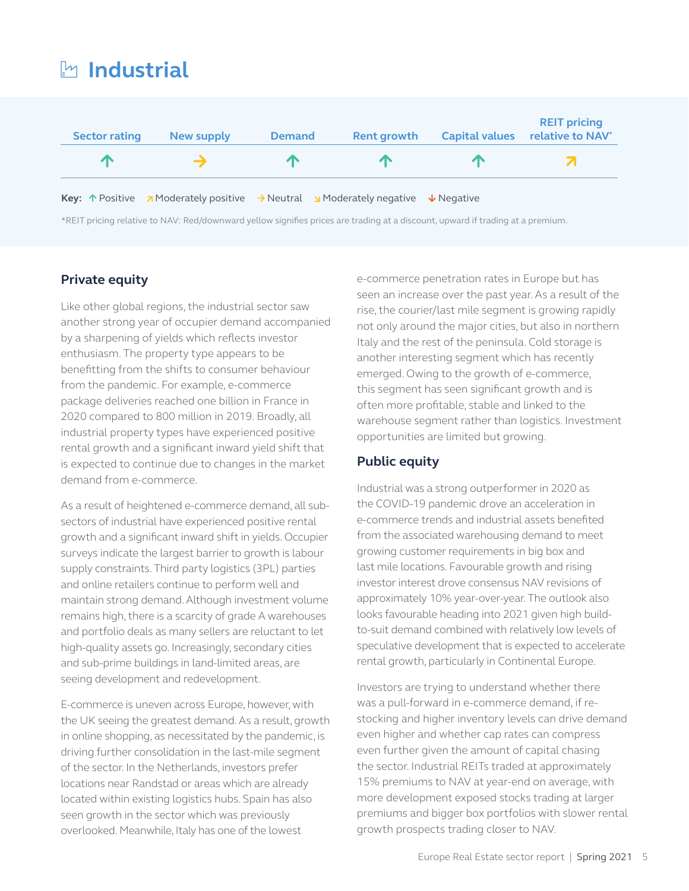## **Industrial**

| <b>Sector rating</b> | New supply | <b>Demand</b> | <b>Rent growth</b>                                                                                                                                                         | <b>Capital values</b> | <b>REIT pricing</b><br>relative to NAV* |
|----------------------|------------|---------------|----------------------------------------------------------------------------------------------------------------------------------------------------------------------------|-----------------------|-----------------------------------------|
| 个                    |            | $\sqrt{2}$    | $\sqrt{2}$                                                                                                                                                                 | $\sqrt{N}$            |                                         |
|                      |            |               | Key: $\Upsilon$ Positive $\overline{\phantom{a}}$ Moderately positive $\rightarrow$ Neutral $\overline{\phantom{a}}$ Moderately negative $\overline{\phantom{a}}$ Negative |                       |                                         |

\*REIT pricing relative to NAV: Red/downward yellow signifies prices are trading at a discount, upward if trading at a premium.

#### **Private equity**

Like other global regions, the industrial sector saw another strong year of occupier demand accompanied by a sharpening of yields which reflects investor enthusiasm. The property type appears to be benefitting from the shifts to consumer behaviour from the pandemic. For example, e-commerce package deliveries reached one billion in France in 2020 compared to 800 million in 2019. Broadly, all industrial property types have experienced positive rental growth and a significant inward yield shift that is expected to continue due to changes in the market demand from e-commerce.

As a result of heightened e-commerce demand, all subsectors of industrial have experienced positive rental growth and a significant inward shift in yields. Occupier surveys indicate the largest barrier to growth is labour supply constraints. Third party logistics (3PL) parties and online retailers continue to perform well and maintain strong demand. Although investment volume remains high, there is a scarcity of grade A warehouses and portfolio deals as many sellers are reluctant to let high-quality assets go. Increasingly, secondary cities and sub-prime buildings in land-limited areas, are seeing development and redevelopment.

E-commerce is uneven across Europe, however, with the UK seeing the greatest demand. As a result, growth in online shopping, as necessitated by the pandemic, is driving further consolidation in the last-mile segment of the sector. In the Netherlands, investors prefer locations near Randstad or areas which are already located within existing logistics hubs. Spain has also seen growth in the sector which was previously overlooked. Meanwhile, Italy has one of the lowest

e-commerce penetration rates in Europe but has seen an increase over the past year. As a result of the rise, the courier/last mile segment is growing rapidly not only around the major cities, but also in northern Italy and the rest of the peninsula. Cold storage is another interesting segment which has recently emerged. Owing to the growth of e-commerce, this segment has seen significant growth and is often more profitable, stable and linked to the warehouse segment rather than logistics. Investment opportunities are limited but growing.

### **Public equity**

Industrial was a strong outperformer in 2020 as the COVID-19 pandemic drove an acceleration in e-commerce trends and industrial assets benefited from the associated warehousing demand to meet growing customer requirements in big box and last mile locations. Favourable growth and rising investor interest drove consensus NAV revisions of approximately 10% year-over-year. The outlook also looks favourable heading into 2021 given high buildto-suit demand combined with relatively low levels of speculative development that is expected to accelerate rental growth, particularly in Continental Europe.

Investors are trying to understand whether there was a pull-forward in e-commerce demand, if restocking and higher inventory levels can drive demand even higher and whether cap rates can compress even further given the amount of capital chasing the sector. Industrial REITs traded at approximately 15% premiums to NAV at year-end on average, with more development exposed stocks trading at larger premiums and bigger box portfolios with slower rental growth prospects trading closer to NAV.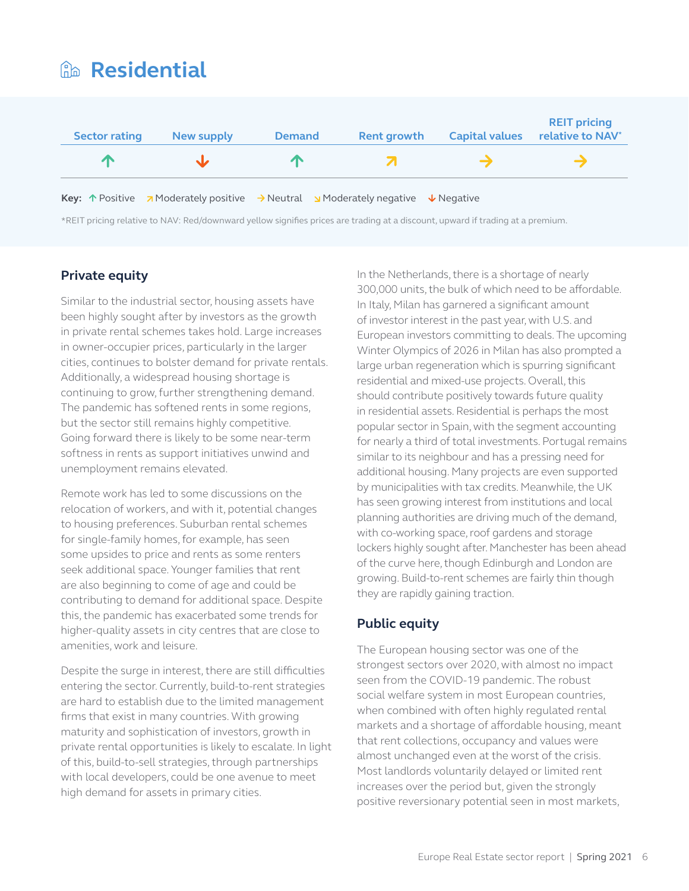### **Residential**



\*REIT pricing relative to NAV: Red/downward yellow signifies prices are trading at a discount, upward if trading at a premium.

#### **Private equity**

Similar to the industrial sector, housing assets have been highly sought after by investors as the growth in private rental schemes takes hold. Large increases in owner-occupier prices, particularly in the larger cities, continues to bolster demand for private rentals. Additionally, a widespread housing shortage is continuing to grow, further strengthening demand. The pandemic has softened rents in some regions, but the sector still remains highly competitive. Going forward there is likely to be some near-term softness in rents as support initiatives unwind and unemployment remains elevated.

Remote work has led to some discussions on the relocation of workers, and with it, potential changes to housing preferences. Suburban rental schemes for single-family homes, for example, has seen some upsides to price and rents as some renters seek additional space. Younger families that rent are also beginning to come of age and could be contributing to demand for additional space. Despite this, the pandemic has exacerbated some trends for higher-quality assets in city centres that are close to amenities, work and leisure.

Despite the surge in interest, there are still difficulties entering the sector. Currently, build-to-rent strategies are hard to establish due to the limited management firms that exist in many countries. With growing maturity and sophistication of investors, growth in private rental opportunities is likely to escalate. In light of this, build-to-sell strategies, through partnerships with local developers, could be one avenue to meet high demand for assets in primary cities.

In the Netherlands, there is a shortage of nearly 300,000 units, the bulk of which need to be affordable. In Italy, Milan has garnered a significant amount of investor interest in the past year, with U.S. and European investors committing to deals. The upcoming Winter Olympics of 2026 in Milan has also prompted a large urban regeneration which is spurring significant residential and mixed-use projects. Overall, this should contribute positively towards future quality in residential assets. Residential is perhaps the most popular sector in Spain, with the segment accounting for nearly a third of total investments. Portugal remains similar to its neighbour and has a pressing need for additional housing. Many projects are even supported by municipalities with tax credits. Meanwhile, the UK has seen growing interest from institutions and local planning authorities are driving much of the demand, with co-working space, roof gardens and storage lockers highly sought after. Manchester has been ahead of the curve here, though Edinburgh and London are growing. Build-to-rent schemes are fairly thin though they are rapidly gaining traction.

#### **Public equity**

The European housing sector was one of the strongest sectors over 2020, with almost no impact seen from the COVID-19 pandemic. The robust social welfare system in most European countries, when combined with often highly regulated rental markets and a shortage of affordable housing, meant that rent collections, occupancy and values were almost unchanged even at the worst of the crisis. Most landlords voluntarily delayed or limited rent increases over the period but, given the strongly positive reversionary potential seen in most markets,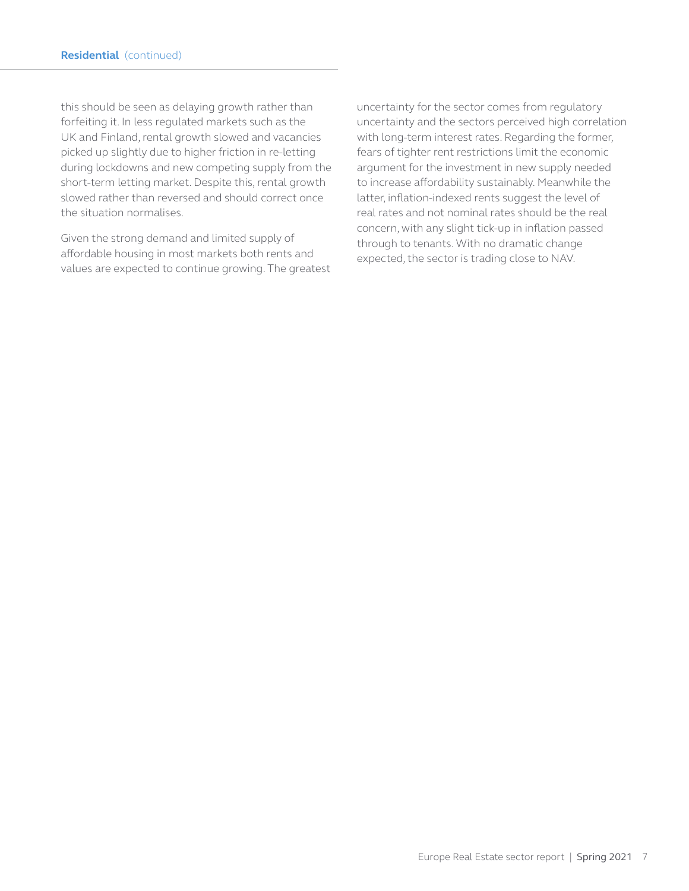this should be seen as delaying growth rather than forfeiting it. In less regulated markets such as the UK and Finland, rental growth slowed and vacancies picked up slightly due to higher friction in re-letting during lockdowns and new competing supply from the short-term letting market. Despite this, rental growth slowed rather than reversed and should correct once the situation normalises.

Given the strong demand and limited supply of affordable housing in most markets both rents and values are expected to continue growing. The greatest

uncertainty for the sector comes from regulatory uncertainty and the sectors perceived high correlation with long-term interest rates. Regarding the former, fears of tighter rent restrictions limit the economic argument for the investment in new supply needed to increase affordability sustainably. Meanwhile the latter, inflation-indexed rents suggest the level of real rates and not nominal rates should be the real concern, with any slight tick-up in inflation passed through to tenants. With no dramatic change expected, the sector is trading close to NAV.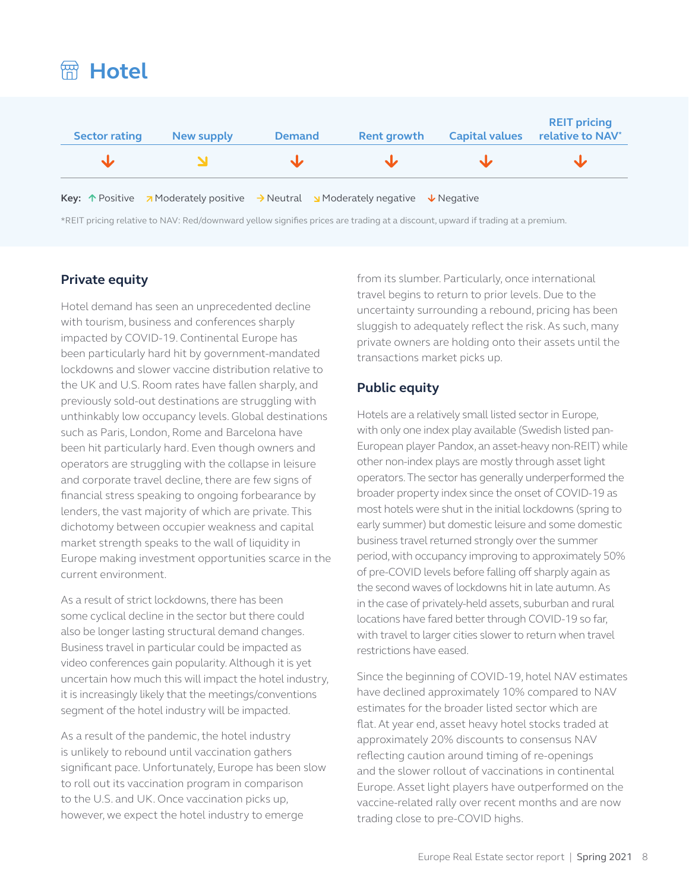



\*REIT pricing relative to NAV: Red/downward yellow signifies prices are trading at a discount, upward if trading at a premium.

#### **Private equity**

Hotel demand has seen an unprecedented decline with tourism, business and conferences sharply impacted by COVID-19. Continental Europe has been particularly hard hit by government-mandated lockdowns and slower vaccine distribution relative to the UK and U.S. Room rates have fallen sharply, and previously sold-out destinations are struggling with unthinkably low occupancy levels. Global destinations such as Paris, London, Rome and Barcelona have been hit particularly hard. Even though owners and operators are struggling with the collapse in leisure and corporate travel decline, there are few signs of financial stress speaking to ongoing forbearance by lenders, the vast majority of which are private. This dichotomy between occupier weakness and capital market strength speaks to the wall of liquidity in Europe making investment opportunities scarce in the current environment.

As a result of strict lockdowns, there has been some cyclical decline in the sector but there could also be longer lasting structural demand changes. Business travel in particular could be impacted as video conferences gain popularity. Although it is yet uncertain how much this will impact the hotel industry, it is increasingly likely that the meetings/conventions segment of the hotel industry will be impacted.

As a result of the pandemic, the hotel industry is unlikely to rebound until vaccination gathers significant pace. Unfortunately, Europe has been slow to roll out its vaccination program in comparison to the U.S. and UK. Once vaccination picks up, however, we expect the hotel industry to emerge

from its slumber. Particularly, once international travel begins to return to prior levels. Due to the uncertainty surrounding a rebound, pricing has been sluggish to adequately reflect the risk. As such, many private owners are holding onto their assets until the transactions market picks up.

#### **Public equity**

Hotels are a relatively small listed sector in Europe, with only one index play available (Swedish listed pan-European player Pandox, an asset-heavy non-REIT) while other non-index plays are mostly through asset light operators. The sector has generally underperformed the broader property index since the onset of COVID-19 as most hotels were shut in the initial lockdowns (spring to early summer) but domestic leisure and some domestic business travel returned strongly over the summer period, with occupancy improving to approximately 50% of pre-COVID levels before falling off sharply again as the second waves of lockdowns hit in late autumn. As in the case of privately-held assets, suburban and rural locations have fared better through COVID-19 so far, with travel to larger cities slower to return when travel restrictions have eased.

Since the beginning of COVID-19, hotel NAV estimates have declined approximately 10% compared to NAV estimates for the broader listed sector which are flat. At year end, asset heavy hotel stocks traded at approximately 20% discounts to consensus NAV reflecting caution around timing of re-openings and the slower rollout of vaccinations in continental Europe. Asset light players have outperformed on the vaccine-related rally over recent months and are now trading close to pre-COVID highs.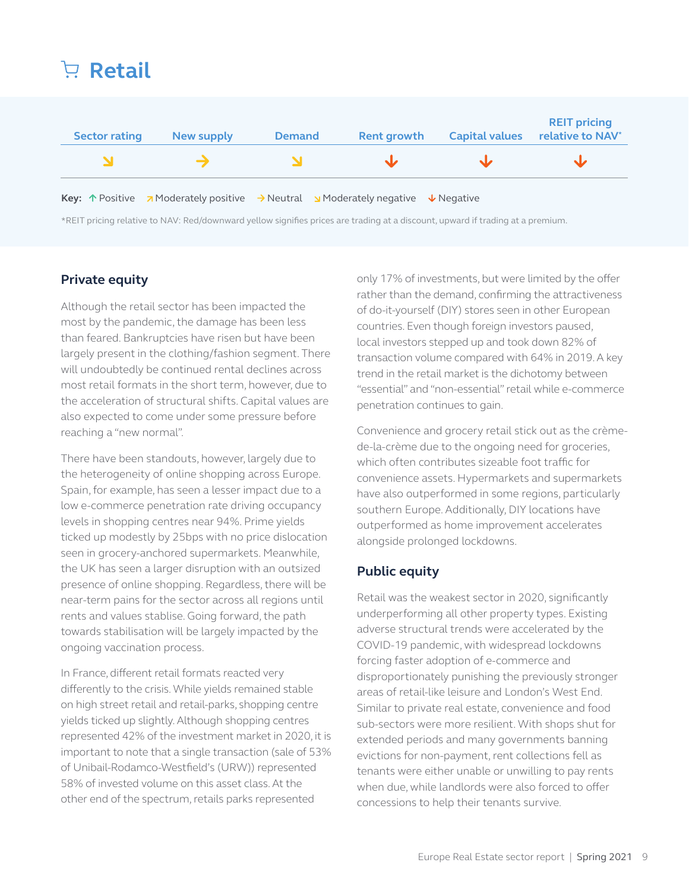## **Retail**



\*REIT pricing relative to NAV: Red/downward yellow signifies prices are trading at a discount, upward if trading at a premium.

#### **Private equity**

Although the retail sector has been impacted the most by the pandemic, the damage has been less than feared. Bankruptcies have risen but have been largely present in the clothing/fashion segment. There will undoubtedly be continued rental declines across most retail formats in the short term, however, due to the acceleration of structural shifts. Capital values are also expected to come under some pressure before reaching a "new normal".

There have been standouts, however, largely due to the heterogeneity of online shopping across Europe. Spain, for example, has seen a lesser impact due to a low e-commerce penetration rate driving occupancy levels in shopping centres near 94%. Prime yields ticked up modestly by 25bps with no price dislocation seen in grocery-anchored supermarkets. Meanwhile, the UK has seen a larger disruption with an outsized presence of online shopping. Regardless, there will be near-term pains for the sector across all regions until rents and values stablise. Going forward, the path towards stabilisation will be largely impacted by the ongoing vaccination process.

In France, different retail formats reacted very differently to the crisis. While yields remained stable on high street retail and retail-parks, shopping centre yields ticked up slightly. Although shopping centres represented 42% of the investment market in 2020, it is important to note that a single transaction (sale of 53% of Unibail-Rodamco-Westfield's (URW)) represented 58% of invested volume on this asset class. At the other end of the spectrum, retails parks represented

only 17% of investments, but were limited by the offer rather than the demand, confirming the attractiveness of do-it-yourself (DIY) stores seen in other European countries. Even though foreign investors paused, local investors stepped up and took down 82% of transaction volume compared with 64% in 2019. A key trend in the retail market is the dichotomy between "essential" and "non-essential" retail while e-commerce penetration continues to gain.

Convenience and grocery retail stick out as the crèmede-la-crème due to the ongoing need for groceries, which often contributes sizeable foot traffic for convenience assets. Hypermarkets and supermarkets have also outperformed in some regions, particularly southern Europe. Additionally, DIY locations have outperformed as home improvement accelerates alongside prolonged lockdowns.

#### **Public equity**

Retail was the weakest sector in 2020, significantly underperforming all other property types. Existing adverse structural trends were accelerated by the COVID-19 pandemic, with widespread lockdowns forcing faster adoption of e-commerce and disproportionately punishing the previously stronger areas of retail-like leisure and London's West End. Similar to private real estate, convenience and food sub-sectors were more resilient. With shops shut for extended periods and many governments banning evictions for non-payment, rent collections fell as tenants were either unable or unwilling to pay rents when due, while landlords were also forced to offer concessions to help their tenants survive.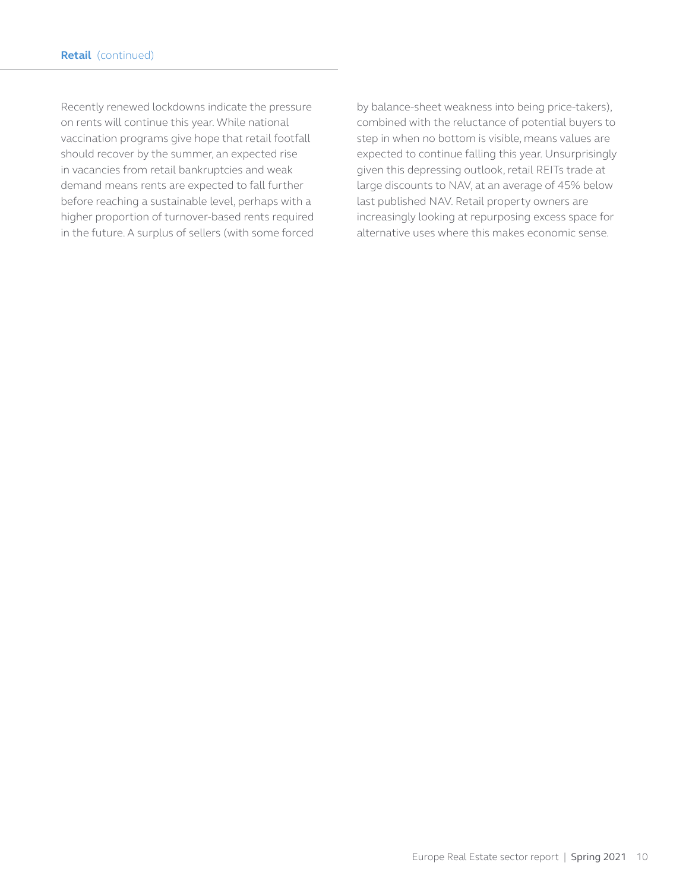Recently renewed lockdowns indicate the pressure on rents will continue this year. While national vaccination programs give hope that retail footfall should recover by the summer, an expected rise in vacancies from retail bankruptcies and weak demand means rents are expected to fall further before reaching a sustainable level, perhaps with a higher proportion of turnover-based rents required in the future. A surplus of sellers (with some forced

by balance-sheet weakness into being price-takers), combined with the reluctance of potential buyers to step in when no bottom is visible, means values are expected to continue falling this year. Unsurprisingly given this depressing outlook, retail REITs trade at large discounts to NAV, at an average of 45% below last published NAV. Retail property owners are increasingly looking at repurposing excess space for alternative uses where this makes economic sense.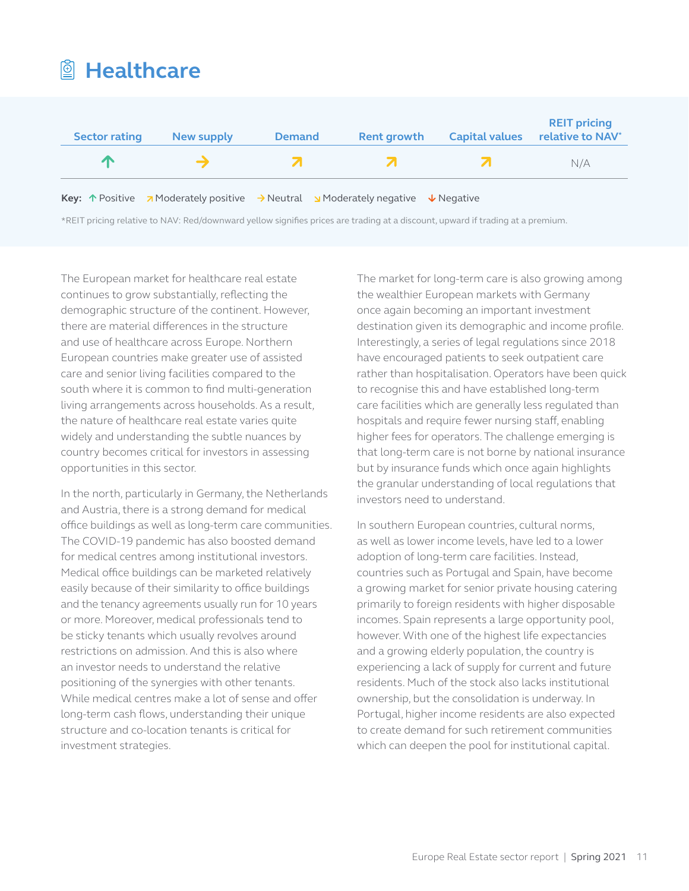

\*REIT pricing relative to NAV: Red/downward yellow signifies prices are trading at a discount, upward if trading at a premium.

The European market for healthcare real estate continues to grow substantially, reflecting the demographic structure of the continent. However, there are material differences in the structure and use of healthcare across Europe. Northern European countries make greater use of assisted care and senior living facilities compared to the south where it is common to find multi-generation living arrangements across households. As a result, the nature of healthcare real estate varies quite widely and understanding the subtle nuances by country becomes critical for investors in assessing opportunities in this sector.

 **Healthcare**

In the north, particularly in Germany, the Netherlands and Austria, there is a strong demand for medical office buildings as well as long-term care communities. The COVID-19 pandemic has also boosted demand for medical centres among institutional investors. Medical office buildings can be marketed relatively easily because of their similarity to office buildings and the tenancy agreements usually run for 10 years or more. Moreover, medical professionals tend to be sticky tenants which usually revolves around restrictions on admission. And this is also where an investor needs to understand the relative positioning of the synergies with other tenants. While medical centres make a lot of sense and offer long-term cash flows, understanding their unique structure and co-location tenants is critical for investment strategies.

The market for long-term care is also growing among the wealthier European markets with Germany once again becoming an important investment destination given its demographic and income profile. Interestingly, a series of legal regulations since 2018 have encouraged patients to seek outpatient care rather than hospitalisation. Operators have been quick to recognise this and have established long-term care facilities which are generally less regulated than hospitals and require fewer nursing staff, enabling higher fees for operators. The challenge emerging is that long-term care is not borne by national insurance but by insurance funds which once again highlights the granular understanding of local regulations that investors need to understand.

In southern European countries, cultural norms, as well as lower income levels, have led to a lower adoption of long-term care facilities. Instead, countries such as Portugal and Spain, have become a growing market for senior private housing catering primarily to foreign residents with higher disposable incomes. Spain represents a large opportunity pool, however. With one of the highest life expectancies and a growing elderly population, the country is experiencing a lack of supply for current and future residents. Much of the stock also lacks institutional ownership, but the consolidation is underway. In Portugal, higher income residents are also expected to create demand for such retirement communities which can deepen the pool for institutional capital.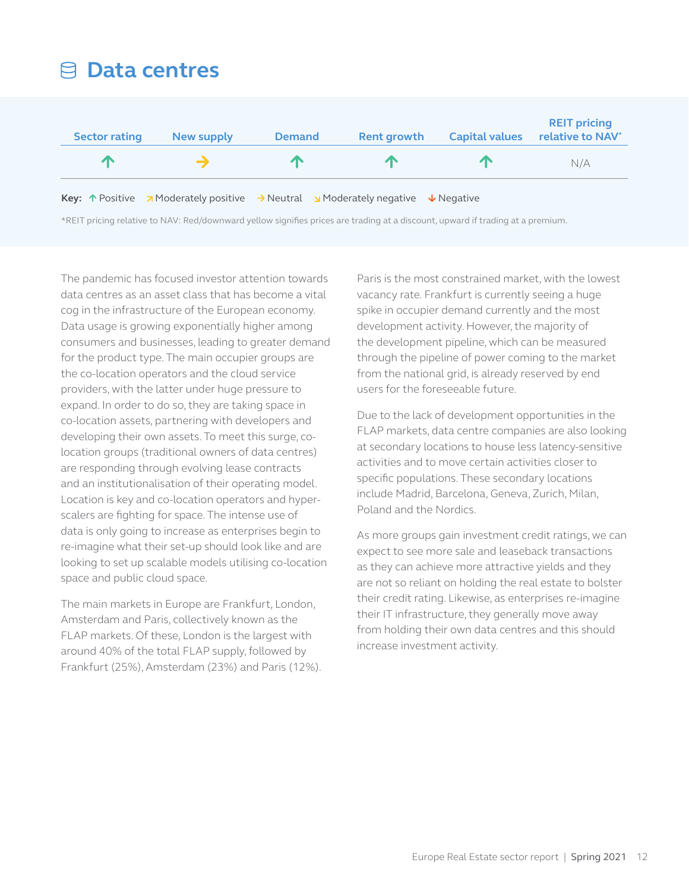

\*REIT pricing relative to NAV: Red/downward yellow signifies prices are trading at a discount, upward if trading at a premium.

The pandemic has focused investor attention towards data centres as an asset class that has become a vital cog in the infrastructure of the European economy. Data usage is growing exponentially higher among consumers and businesses, leading to greater demand for the product type. The main occupier groups are the co-location operators and the cloud service providers, with the latter under huge pressure to expand. In order to do so, they are taking space in co-location assets, partnering with developers and developing their own assets. To meet this surge, colocation groups (traditional owners of data centres) are responding through evolving lease contracts and an institutionalisation of their operating model. Location is key and co-location operators and hyperscalers are fighting for space. The intense use of data is only going to increase as enterprises begin to re-imagine what their set-up should look like and are looking to set up scalable models utilising co-location space and public cloud space.

 **Data centres**

The main markets in Europe are Frankfurt, London, Amsterdam and Paris, collectively known as the FLAP markets. Of these, London is the largest with around 40% of the total FLAP supply, followed by Frankfurt (25%), Amsterdam (23%) and Paris (12%).

Paris is the most constrained market, with the lowest vacancy rate. Frankfurt is currently seeing a huge spike in occupier demand currently and the most development activity. However, the majority of the development pipeline, which can be measured through the pipeline of power coming to the market from the national grid, is already reserved by end users for the foreseeable future.

Due to the lack of development opportunities in the FLAP markets, data centre companies are also looking at secondary locations to house less latency-sensitive activities and to move certain activities closer to specific populations. These secondary locations include Madrid, Barcelona, Geneva, Zurich, Milan, Poland and the Nordics.

As more groups gain investment credit ratings, we can expect to see more sale and leaseback transactions as they can achieve more attractive yields and they are not so reliant on holding the real estate to bolster their credit rating. Likewise, as enterprises re-imagine their IT infrastructure, they generally move away from holding their own data centres and this should increase investment activity.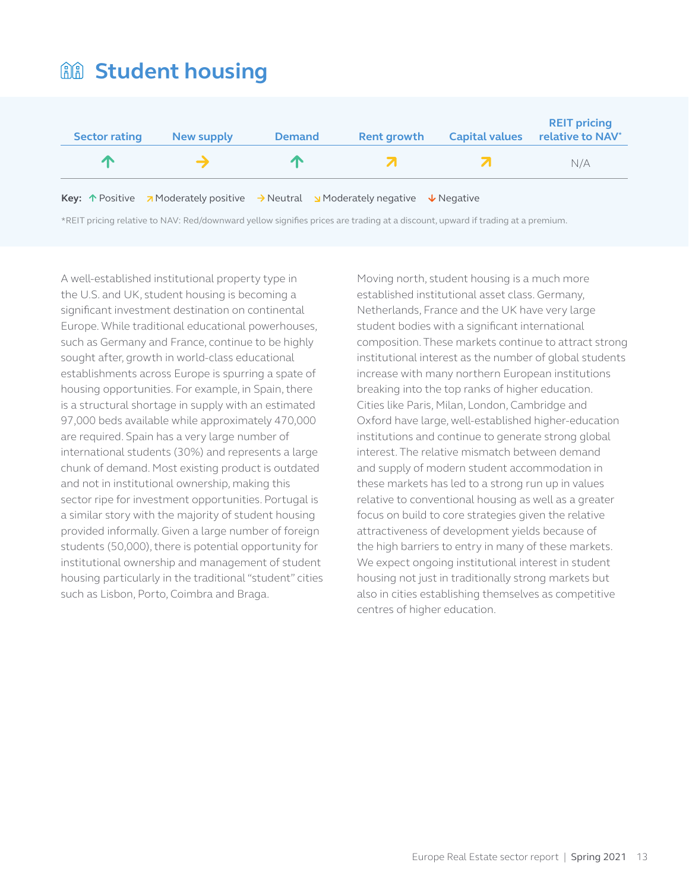## *a Student housing*

| <b>Sector rating</b> | New supply | <b>Demand</b> | <b>Rent growth</b>                                                                                                              | <b>Capital values</b>    | <b>REIT pricing</b><br>relative to NAV* |
|----------------------|------------|---------------|---------------------------------------------------------------------------------------------------------------------------------|--------------------------|-----------------------------------------|
| $\sqrt{2}$           |            | $\bigwedge$   | $\overline{\phantom{a}}$                                                                                                        | $\overline{\phantom{a}}$ | N/A                                     |
|                      |            |               | <b>Key:</b> $\Upsilon$ Positive <b>7</b> Moderately positive $\rightarrow$ Neutral <b>N</b> Moderately negative $\vee$ Negative |                          |                                         |

\*REIT pricing relative to NAV: Red/downward yellow signifies prices are trading at a discount, upward if trading at a premium.

A well-established institutional property type in the U.S. and UK, student housing is becoming a significant investment destination on continental Europe. While traditional educational powerhouses, such as Germany and France, continue to be highly sought after, growth in world-class educational establishments across Europe is spurring a spate of housing opportunities. For example, in Spain, there is a structural shortage in supply with an estimated 97,000 beds available while approximately 470,000 are required. Spain has a very large number of international students (30%) and represents a large chunk of demand. Most existing product is outdated and not in institutional ownership, making this sector ripe for investment opportunities. Portugal is a similar story with the majority of student housing provided informally. Given a large number of foreign students (50,000), there is potential opportunity for institutional ownership and management of student housing particularly in the traditional "student" cities such as Lisbon, Porto, Coimbra and Braga.

Moving north, student housing is a much more established institutional asset class. Germany, Netherlands, France and the UK have very large student bodies with a significant international composition. These markets continue to attract strong institutional interest as the number of global students increase with many northern European institutions breaking into the top ranks of higher education. Cities like Paris, Milan, London, Cambridge and Oxford have large, well-established higher-education institutions and continue to generate strong global interest. The relative mismatch between demand and supply of modern student accommodation in these markets has led to a strong run up in values relative to conventional housing as well as a greater focus on build to core strategies given the relative attractiveness of development yields because of the high barriers to entry in many of these markets. We expect ongoing institutional interest in student housing not just in traditionally strong markets but also in cities establishing themselves as competitive centres of higher education.